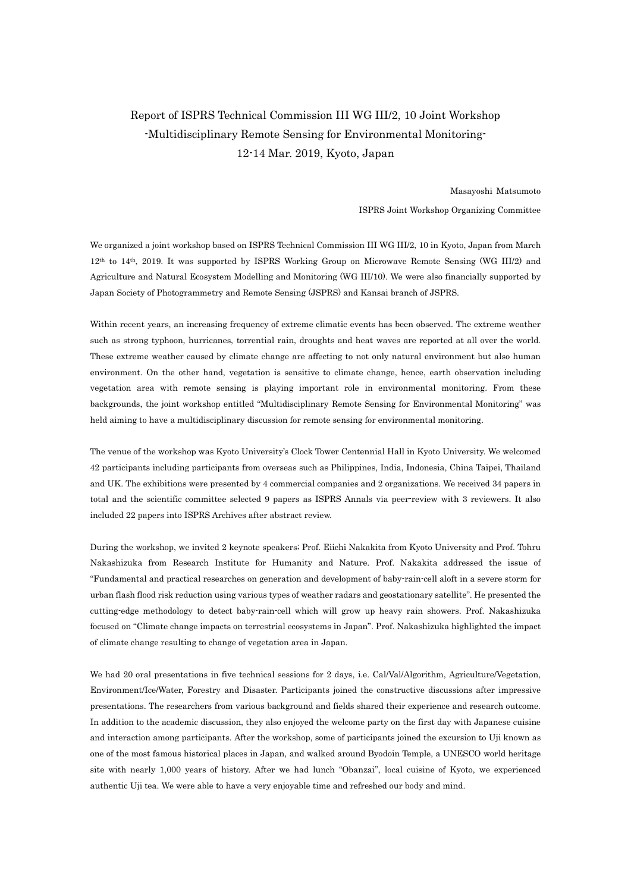# Report of ISPRS Technical Commission III WG III/2, 10 Joint Workshop -Multidisciplinary Remote Sensing for Environmental Monitoring-12-14 Mar. 2019, Kyoto, Japan

Masayoshi Matsumoto ISPRS Joint Workshop Organizing Committee

We organized a joint workshop based on ISPRS Technical Commission III WG III/2, 10 in Kyoto, Japan from March 12th to 14th, 2019. It was supported by ISPRS Working Group on Microwave Remote Sensing (WG III/2) and Agriculture and Natural Ecosystem Modelling and Monitoring (WG III/10). We were also financially supported by Japan Society of Photogrammetry and Remote Sensing (JSPRS) and Kansai branch of JSPRS.

Within recent years, an increasing frequency of extreme climatic events has been observed. The extreme weather such as strong typhoon, hurricanes, torrential rain, droughts and heat waves are reported at all over the world. These extreme weather caused by climate change are affecting to not only natural environment but also human environment. On the other hand, vegetation is sensitive to climate change, hence, earth observation including vegetation area with remote sensing is playing important role in environmental monitoring. From these backgrounds, the joint workshop entitled "Multidisciplinary Remote Sensing for Environmental Monitoring" was held aiming to have a multidisciplinary discussion for remote sensing for environmental monitoring.

The venue of the workshop was Kyoto University's Clock Tower Centennial Hall in Kyoto University. We welcomed 42 participants including participants from overseas such as Philippines, India, Indonesia, China Taipei, Thailand and UK. The exhibitions were presented by 4 commercial companies and 2 organizations. We received 34 papers in total and the scientific committee selected 9 papers as ISPRS Annals via peer-review with 3 reviewers. It also included 22 papers into ISPRS Archives after abstract review.

During the workshop, we invited 2 keynote speakers; Prof. Eiichi Nakakita from Kyoto University and Prof. Tohru Nakashizuka from Research Institute for Humanity and Nature. Prof. Nakakita addressed the issue of "Fundamental and practical researches on generation and development of baby-rain-cell aloft in a severe storm for urban flash flood risk reduction using various types of weather radars and geostationary satellite". He presented the cutting-edge methodology to detect baby-rain-cell which will grow up heavy rain showers. Prof. Nakashizuka focused on "Climate change impacts on terrestrial ecosystems in Japan". Prof. Nakashizuka highlighted the impact of climate change resulting to change of vegetation area in Japan.

We had 20 oral presentations in five technical sessions for 2 days, i.e. Cal/Val/Algorithm, Agriculture/Vegetation, Environment/Ice/Water, Forestry and Disaster. Participants joined the constructive discussions after impressive presentations. The researchers from various background and fields shared their experience and research outcome. In addition to the academic discussion, they also enjoyed the welcome party on the first day with Japanese cuisine and interaction among participants. After the workshop, some of participants joined the excursion to Uji known as one of the most famous historical places in Japan, and walked around Byodoin Temple, a UNESCO world heritage site with nearly 1,000 years of history. After we had lunch "Obanzai", local cuisine of Kyoto, we experienced authentic Uji tea. We were able to have a very enjoyable time and refreshed our body and mind.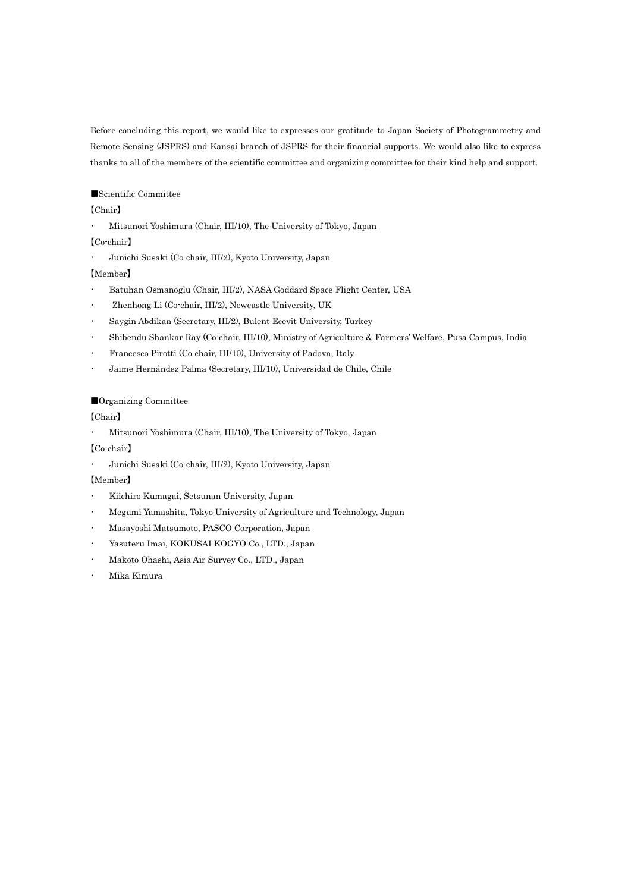Before concluding this report, we would like to expresses our gratitude to Japan Society of Photogrammetry and Remote Sensing (JSPRS) and Kansai branch of JSPRS for their financial supports. We would also like to express thanks to all of the members of the scientific committee and organizing committee for their kind help and support.

#### ■Scientific Committee

## 【Chair】

・ Mitsunori Yoshimura (Chair, III/10), The University of Tokyo, Japan

## 【Co-chair】

・ Junichi Susaki (Co-chair, III/2), Kyoto University, Japan

## 【Member】

- Batuhan Osmanoglu (Chair, III/2), NASA Goddard Space Flight Center, USA
- Zhenhong Li (Co-chair, III/2), Newcastle University, UK
- ・ Saygin Abdikan (Secretary, III/2), Bulent Ecevit University, Turkey
- ・ Shibendu Shankar Ray (Co-chair, III/10), Ministry of Agriculture & Farmers' Welfare, Pusa Campus, India
- ・ Francesco Pirotti (Co-chair, III/10), University of Padova, Italy
- ・ Jaime Hernández Palma (Secretary, III/10), Universidad de Chile, Chile

#### ■Organizing Committee

## 【Chair】

・ Mitsunori Yoshimura (Chair, III/10), The University of Tokyo, Japan

#### 【Co-chair】

・ Junichi Susaki (Co-chair, III/2), Kyoto University, Japan

## 【Member】

- ・ Kiichiro Kumagai, Setsunan University, Japan
- ・ Megumi Yamashita, Tokyo University of Agriculture and Technology, Japan
- ・ Masayoshi Matsumoto, PASCO Corporation, Japan
- Yasuteru Imai, KOKUSAI KOGYO Co., LTD., Japan
- ・ Makoto Ohashi, Asia Air Survey Co., LTD., Japan
- Mika Kimura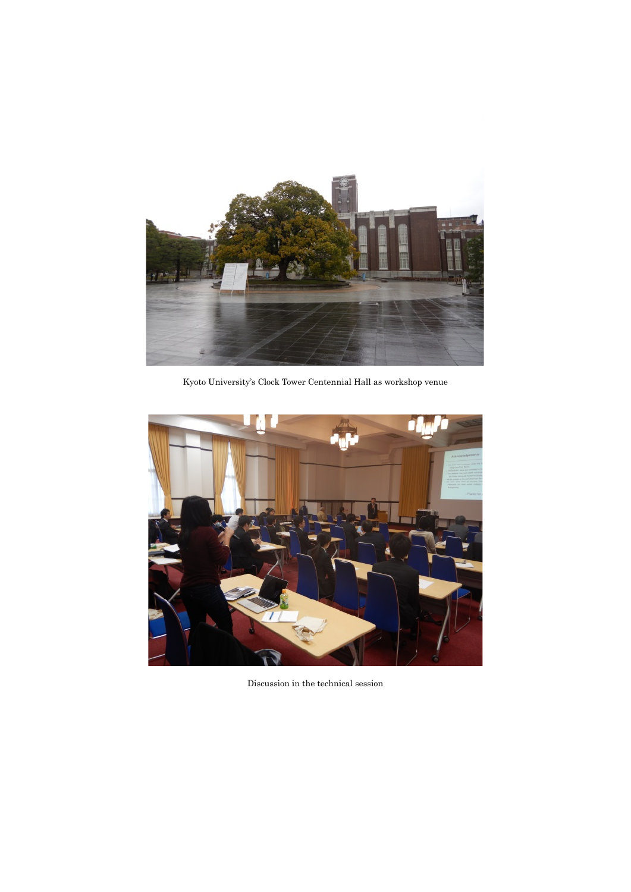

Kyoto University's Clock Tower Centennial Hall as workshop venue



Discussion in the technical session